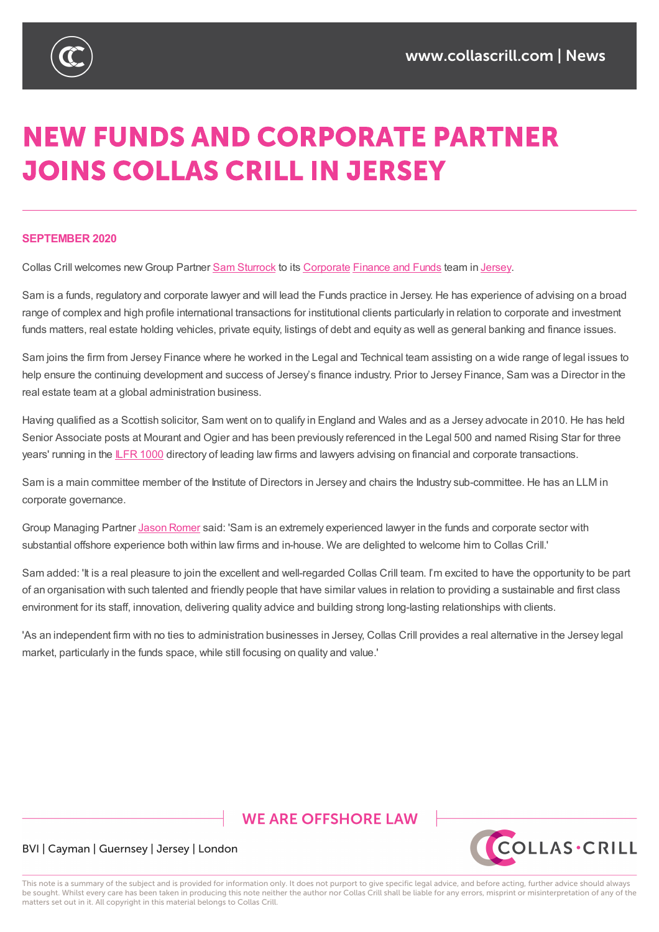

# **NEW FUNDS AND CORPORATE PARTNER JOINS COLLAS CRILL IN JERSEY**

#### **SEPTEMBER 2020**

Collas Crill welcomes new Group Partner Sam Sturrock to its Corporate Finance and Funds team in Jersey.

Sam is a funds, regulatory and corporate lawyer and will lead the Funds practice in Jersey. He has experience of advising on a broad range of complex and high profile international transactions for [institution](https://www.collascrill.com/services/corporate-advisory/)al clients particularly in relation to corporate and investment funds matters, real estate holding vehicles, [private](https://www.collascrill.com/who-we-are/s/sam-sturrock/) equity, listings of debt and [equity](https://www.collascrill.com/services/investment-funds-private-equity-venture-capital/) as well as general [banki](https://www.collascrill.com/where-we-are/locations/jersey/)ng and finance issues.

Sam joins the firm from Jersey Finance where he worked in the Legal and Technical team assisting on a wide range of legal issues to help ensure the continuing development and success of Jersey's finance industry. Prior to Jersey Finance, Sam was a Director in the real estate team at a global administration business.

Having qualified as a Scottish solicitor, Sam went on to qualify in England and Wales and as a Jersey advocate in 2010. He has held Senior Associate posts at Mourant and Ogier and has been previously referenced in the Legal 500 and named Rising Star for three years' running in the ILFR 1000 directory of leading law firms and lawyers advising on financial and corporate transactions.

Sam is a main committee member of the Institute of Directors in Jersey and chairs the Industry sub-committee. He has an LLM in corporate governan[ce.](https://protect.mimecast-offshore.com/s/7QmvCgLEnRhWw9OhNC2Oj?domain=nam12.safelinks.protection.outlook.com)

Group Managing Partner Jason Romer said: 'Sam is an extremely experienced lawyer in the funds and corporate sector with substantial offshore experience both within law firms and in-house. We are delighted to welcome him to Collas Crill.'

Sam added: 'It is a real pleasure to join the excellent and well-regarded Collas Crill team. I'm excited to have the opportunity to be part of an organisation with such [talented](https://www.collascrill.com/who-we-are/r/jason-romer/) and friendly people that have similar values in relation to providing a sustainable and first class environment for its staff, innovation, delivering quality advice and building strong long-lasting relationships with clients.

'As an independent firm with no ties to administration businesses in Jersey, Collas Crill provides a real alternative in the Jersey legal market, particularly in the funds space, while still focusing on quality and value.'

## **WE ARE OFFSHORE LAW**



#### BVI | Cayman | Guernsey | Jersey | London

This note is a summary of the subject and is provided for information only. It does not purport to give specific legal advice, and before acting, further advice should always be sought. Whilst every care has been taken in producing this note neither the author nor Collas Crill shall be liable for any errors, misprint or misinterpretation of any of the matters set out in it. All copyright in this material belongs to Collas Crill.